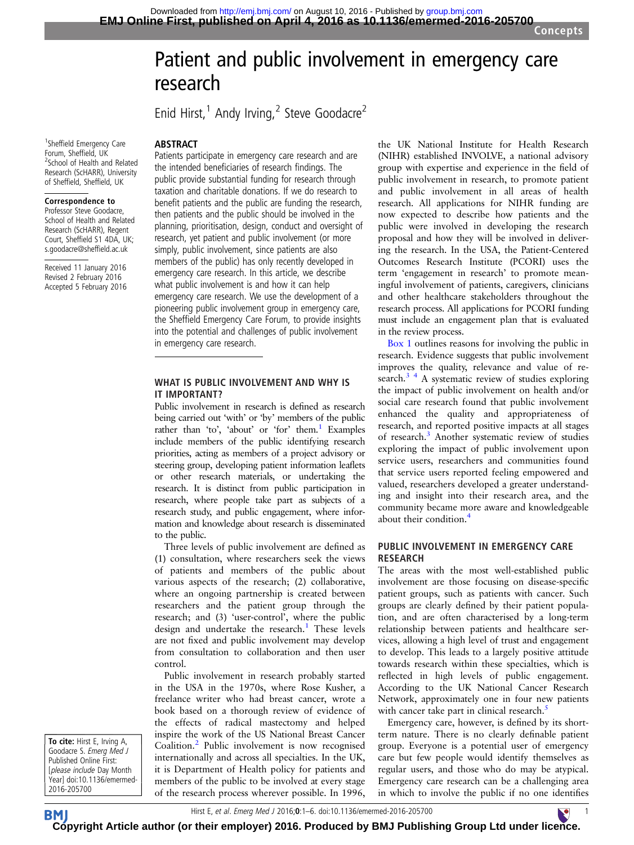# Patient and public involvement in emergency care research

Enid Hirst,<sup>1</sup> Andy Irving,<sup>2</sup> Steve Goodacre<sup>2</sup>

#### ABSTRACT

<sup>1</sup>Sheffield Emergency Care Forum, Sheffield, UK <sup>2</sup> <sup>2</sup> School of Health and Related Research (ScHARR), University of Sheffield, Sheffield, UK

#### Correspondence to

Professor Steve Goodacre, School of Health and Related Research (ScHARR), Regent Court, Sheffield S1 4DA, UK; s.goodacre@sheffield.ac.uk

Received 11 January 2016 Revised 2 February 2016 Accepted 5 February 2016 Patients participate in emergency care research and are the intended beneficiaries of research findings. The public provide substantial funding for research through taxation and charitable donations. If we do research to benefit patients and the public are funding the research, then patients and the public should be involved in the planning, prioritisation, design, conduct and oversight of research, yet patient and public involvement (or more simply, public involvement, since patients are also members of the public) has only recently developed in emergency care research. In this article, we describe what public involvement is and how it can help emergency care research. We use the development of a pioneering public involvement group in emergency care, the Sheffield Emergency Care Forum, to provide insights into the potential and challenges of public involvement in emergency care research.

#### WHAT IS PUBLIC INVOLVEMENT AND WHY IS IT IMPORTANT?

Public involvement in research is defined as research being carried out 'with' or 'by' members of the public rather than 'to', 'about' or 'for' them.<sup>1</sup> Examples include members of the public identifying research priorities, acting as members of a project advisory or steering group, developing patient information leaflets or other research materials, or undertaking the research. It is distinct from public participation in research, where people take part as subjects of a research study, and public engagement, where information and knowledge about research is disseminated to the public.

Three levels of public involvement are defined as (1) consultation, where researchers seek the views of patients and members of the public about various aspects of the research; (2) collaborative, where an ongoing partnership is created between researchers and the patient group through the research; and (3) 'user-control', where the public design and undertake the research.<sup>[1](#page-5-0)</sup> These levels are not fixed and public involvement may develop from consultation to collaboration and then user control.

Public involvement in research probably started in the USA in the 1970s, where Rose Kusher, a freelance writer who had breast cancer, wrote a book based on a thorough review of evidence of the effects of radical mastectomy and helped inspire the work of the US National Breast Cancer Coalition.<sup>[2](#page-5-0)</sup> Public involvement is now recognised internationally and across all specialties. In the UK, it is Department of Health policy for patients and members of the public to be involved at every stage of the research process wherever possible. In 1996, the UK National Institute for Health Research (NIHR) established INVOLVE, a national advisory group with expertise and experience in the field of public involvement in research, to promote patient and public involvement in all areas of health research. All applications for NIHR funding are now expected to describe how patients and the public were involved in developing the research proposal and how they will be involved in delivering the research. In the USA, the Patient-Centered Outcomes Research Institute (PCORI) uses the term 'engagement in research' to promote meaningful involvement of patients, caregivers, clinicians and other healthcare stakeholders throughout the research process. All applications for PCORI funding must include an engagement plan that is evaluated in the review process.

[Box 1](#page-1-0) outlines reasons for involving the public in research. Evidence suggests that public involvement improves the quality, relevance and value of research.<sup>3</sup> <sup>4</sup> A systematic review of studies exploring the impact of public involvement on health and/or social care research found that public involvement enhanced the quality and appropriateness of research, and reported positive impacts at all stages of research.<sup>[3](#page-5-0)</sup> Another systematic review of studies exploring the impact of public involvement upon service users, researchers and communities found that service users reported feeling empowered and valued, researchers developed a greater understanding and insight into their research area, and the community became more aware and knowledgeable about their condition.<sup>[4](#page-5-0)</sup>

#### PUBLIC INVOLVEMENT IN EMERGENCY CARE RESEARCH

The areas with the most well-established public involvement are those focusing on disease-specific patient groups, such as patients with cancer. Such groups are clearly defined by their patient population, and are often characterised by a long-term relationship between patients and healthcare services, allowing a high level of trust and engagement to develop. This leads to a largely positive attitude towards research within these specialties, which is reflected in high levels of public engagement. According to the UK National Cancer Research Network, approximately one in four new patients with cancer take part in clinical research.<sup>[5](#page-5-0)</sup>

Emergency care, however, is defined by its shortterm nature. There is no clearly definable patient group. Everyone is a potential user of emergency care but few people would identify themselves as regular users, and those who do may be atypical. Emergency care research can be a challenging area in which to involve the public if no one identifies

To cite: Hirst E, Irving A, Goodacre S. Emerg Med J Published Online First: [please include Day Month Year] doi:10.1136/emermed-2016-205700

Hirst E, et al. Emerg Med J 2016;0:1–6. doi:10.1136/emermed-2016-205700 1

**BM [Cop](http://emj.bmj.com)yright Article author (or their employer) 2016. Produced by BMJ Publishing Group Ltd under lic[enc](http://www.collemergencymed.ac.uk/)e.**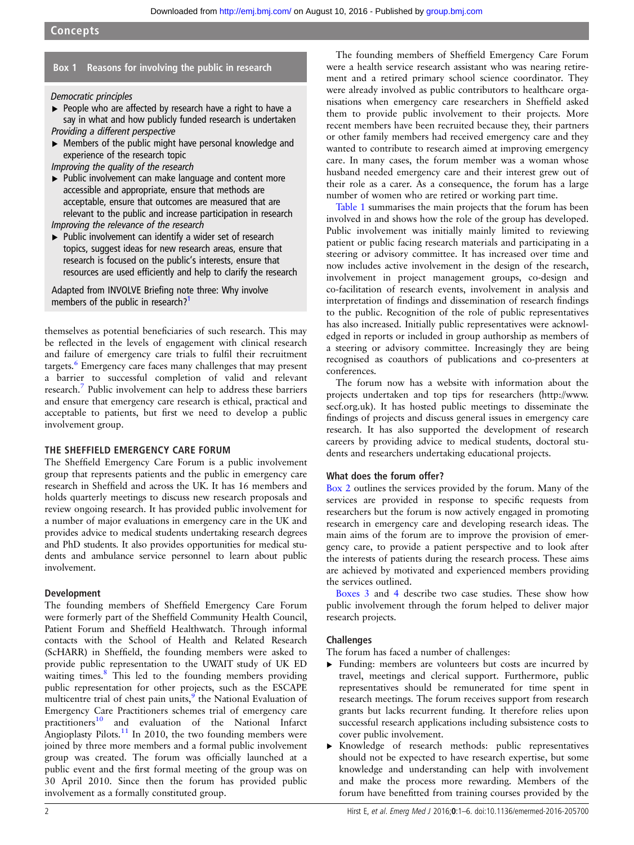# <span id="page-1-0"></span>Box 1 Reasons for involving the public in research

Democratic principles

- ▶ People who are affected by research have a right to have a say in what and how publicly funded research is undertaken Providing a different perspective
- ▸ Members of the public might have personal knowledge and experience of the research topic

Improving the quality of the research

▸ Public involvement can make language and content more accessible and appropriate, ensure that methods are acceptable, ensure that outcomes are measured that are relevant to the public and increase participation in research Improving the relevance of the research

▶ Public involvement can identify a wider set of research topics, suggest ideas for new research areas, ensure that research is focused on the public's interests, ensure that resources are used efficiently and help to clarify the research

Adapted from INVOLVE Briefing note three: Why involve members of the public in research?<sup>1</sup>

themselves as potential beneficiaries of such research. This may be reflected in the levels of engagement with clinical research and failure of emergency care trials to fulfil their recruitment targets.<sup>[6](#page-5-0)</sup> Emergency care faces many challenges that may present a barrier to successful completion of valid and relevant research.[7](#page-5-0) Public involvement can help to address these barriers and ensure that emergency care research is ethical, practical and acceptable to patients, but first we need to develop a public involvement group.

#### THE SHEFFIELD EMERGENCY CARE FORUM

The Sheffield Emergency Care Forum is a public involvement group that represents patients and the public in emergency care research in Sheffield and across the UK. It has 16 members and holds quarterly meetings to discuss new research proposals and review ongoing research. It has provided public involvement for a number of major evaluations in emergency care in the UK and provides advice to medical students undertaking research degrees and PhD students. It also provides opportunities for medical students and ambulance service personnel to learn about public involvement.

#### Development

The founding members of Sheffield Emergency Care Forum were formerly part of the Sheffield Community Health Council, Patient Forum and Sheffield Healthwatch. Through informal contacts with the School of Health and Related Research (ScHARR) in Sheffield, the founding members were asked to provide public representation to the UWAIT study of UK ED waiting times.<sup>[8](#page-5-0)</sup> This led to the founding members providing public representation for other projects, such as the ESCAPE multicentre trial of chest pain units,<sup>[9](#page-5-0)</sup> the National Evaluation of Emergency Care Practitioners schemes trial of emergency care practitioners<sup>[10](#page-5-0)</sup> and evaluation of the National Infarct Angioplasty Pilots.<sup>[11](#page-5-0)</sup> In 2010, the two founding members were joined by three more members and a formal public involvement group was created. The forum was officially launched at a public event and the first formal meeting of the group was on 30 April 2010. Since then the forum has provided public involvement as a formally constituted group.

The founding members of Sheffield Emergency Care Forum were a health service research assistant who was nearing retirement and a retired primary school science coordinator. They were already involved as public contributors to healthcare organisations when emergency care researchers in Sheffield asked them to provide public involvement to their projects. More recent members have been recruited because they, their partners or other family members had received emergency care and they wanted to contribute to research aimed at improving emergency care. In many cases, the forum member was a woman whose husband needed emergency care and their interest grew out of their role as a carer. As a consequence, the forum has a large number of women who are retired or working part time.

[Table 1](#page-2-0) summarises the main projects that the forum has been involved in and shows how the role of the group has developed. Public involvement was initially mainly limited to reviewing patient or public facing research materials and participating in a steering or advisory committee. It has increased over time and now includes active involvement in the design of the research, involvement in project management groups, co-design and co-facilitation of research events, involvement in analysis and interpretation of findings and dissemination of research findings to the public. Recognition of the role of public representatives has also increased. Initially public representatives were acknowledged in reports or included in group authorship as members of a steering or advisory committee. Increasingly they are being recognised as coauthors of publications and co-presenters at conferences.

The forum now has a website with information about the projects undertaken and top tips for researchers [\(http://www.](http://www.secf.org.uk) [secf.org.uk\)](http://www.secf.org.uk). It has hosted public meetings to disseminate the findings of projects and discuss general issues in emergency care research. It has also supported the development of research careers by providing advice to medical students, doctoral students and researchers undertaking educational projects.

## What does the forum offer?

[Box 2](#page-3-0) outlines the services provided by the forum. Many of the services are provided in response to specific requests from researchers but the forum is now actively engaged in promoting research in emergency care and developing research ideas. The main aims of the forum are to improve the provision of emergency care, to provide a patient perspective and to look after the interests of patients during the research process. These aims are achieved by motivated and experienced members providing the services outlined.

[Boxes 3](#page-4-0) and [4](#page-4-0) describe two case studies. These show how public involvement through the forum helped to deliver major research projects.

## **Challenges**

The forum has faced a number of challenges:

- ▸ Funding: members are volunteers but costs are incurred by travel, meetings and clerical support. Furthermore, public representatives should be remunerated for time spent in research meetings. The forum receives support from research grants but lacks recurrent funding. It therefore relies upon successful research applications including subsistence costs to cover public involvement.
- ▸ Knowledge of research methods: public representatives should not be expected to have research expertise, but some knowledge and understanding can help with involvement and make the process more rewarding. Members of the forum have benefitted from training courses provided by the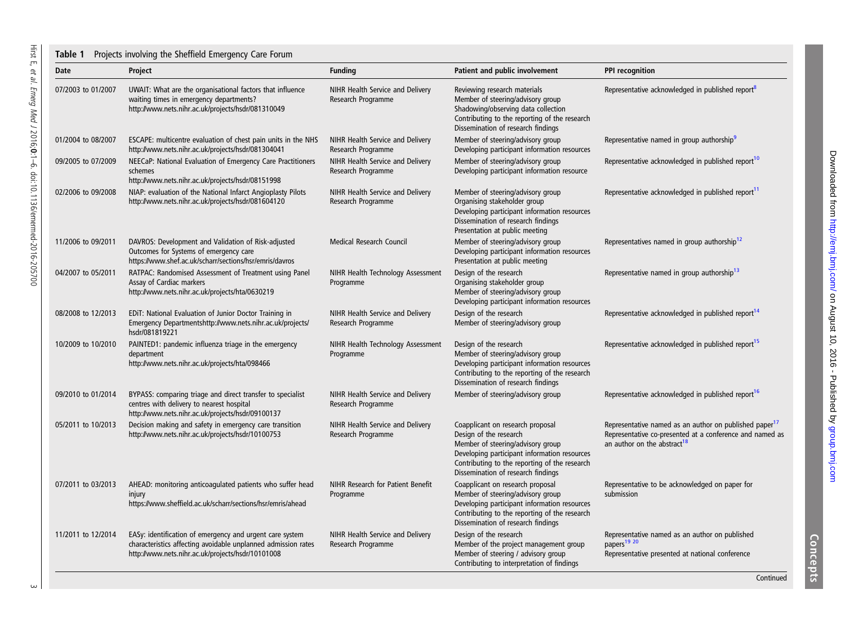<span id="page-2-0"></span>

| Date               | Project                                                                                                                                                                        | <b>Funding</b>                                         | Patient and public involvement                                                                                                                                                                                                         | PPI recognition                                                                                                                                                           |
|--------------------|--------------------------------------------------------------------------------------------------------------------------------------------------------------------------------|--------------------------------------------------------|----------------------------------------------------------------------------------------------------------------------------------------------------------------------------------------------------------------------------------------|---------------------------------------------------------------------------------------------------------------------------------------------------------------------------|
| 07/2003 to 01/2007 | UWAIT: What are the organisational factors that influence<br>waiting times in emergency departments?<br>http://www.nets.nihr.ac.uk/projects/hsdr/081310049                     | NIHR Health Service and Delivery<br>Research Programme | Reviewing research materials<br>Member of steering/advisory group<br>Shadowing/observing data collection<br>Contributing to the reporting of the research<br>Dissemination of research findings                                        | Representative acknowledged in published report <sup>8</sup>                                                                                                              |
| 01/2004 to 08/2007 | ESCAPE: multicentre evaluation of chest pain units in the NHS<br>http://www.nets.nihr.ac.uk/projects/hsdr/081304041                                                            | NIHR Health Service and Delivery<br>Research Programme | Member of steering/advisory group<br>Developing participant information resources                                                                                                                                                      | Representative named in group authorship <sup>9</sup>                                                                                                                     |
| 09/2005 to 07/2009 | NEECaP: National Evaluation of Emergency Care Practitioners<br>schemes<br>http://www.nets.nihr.ac.uk/projects/hsdr/08151998                                                    | NIHR Health Service and Delivery<br>Research Programme | Member of steering/advisory group<br>Developing participant information resource                                                                                                                                                       | Representative acknowledged in published report <sup>10</sup>                                                                                                             |
| 02/2006 to 09/2008 | NIAP: evaluation of the National Infarct Angioplasty Pilots<br>http://www.nets.nihr.ac.uk/projects/hsdr/081604120                                                              | NIHR Health Service and Delivery<br>Research Programme | Member of steering/advisory group<br>Organising stakeholder group<br>Developing participant information resources<br>Dissemination of research findings<br>Presentation at public meeting                                              | Representative acknowledged in published report <sup>11</sup>                                                                                                             |
| 11/2006 to 09/2011 | DAVROS: Development and Validation of Risk-adjusted<br>Outcomes for Systems of emergency care<br>https://www.shef.ac.uk/scharr/sections/hsr/emris/davros                       | Medical Research Council                               | Member of steering/advisory group<br>Developing participant information resources<br>Presentation at public meeting                                                                                                                    | Representatives named in group authorship <sup>12</sup>                                                                                                                   |
| 04/2007 to 05/2011 | RATPAC: Randomised Assessment of Treatment using Panel<br>Assay of Cardiac markers<br>http://www.nets.nihr.ac.uk/projects/hta/0630219                                          | NIHR Health Technology Assessment<br>Programme         | Design of the research<br>Organising stakeholder group<br>Member of steering/advisory group<br>Developing participant information resources                                                                                            | Representative named in group authorship <sup>13</sup>                                                                                                                    |
| 08/2008 to 12/2013 | EDIT: National Evaluation of Junior Doctor Training in<br>Emergency Departmentshttp://www.nets.nihr.ac.uk/projects/<br>hsdr/081819221                                          | NIHR Health Service and Delivery<br>Research Programme | Design of the research<br>Member of steering/advisory group                                                                                                                                                                            | Representative acknowledged in published report <sup>14</sup>                                                                                                             |
| 10/2009 to 10/2010 | PAINTED1: pandemic influenza triage in the emergency<br>department<br>http://www.nets.nihr.ac.uk/projects/hta/098466                                                           | NIHR Health Technology Assessment<br>Programme         | Design of the research<br>Member of steering/advisory group<br>Developing participant information resources<br>Contributing to the reporting of the research<br>Dissemination of research findings                                     | Representative acknowledged in published report <sup>15</sup>                                                                                                             |
| 09/2010 to 01/2014 | BYPASS: comparing triage and direct transfer to specialist<br>centres with delivery to nearest hospital<br>http://www.nets.nihr.ac.uk/projects/hsdr/09100137                   | NIHR Health Service and Delivery<br>Research Programme | Member of steering/advisory group                                                                                                                                                                                                      | Representative acknowledged in published report <sup>16</sup>                                                                                                             |
| 05/2011 to 10/2013 | Decision making and safety in emergency care transition<br>http://www.nets.nihr.ac.uk/projects/hsdr/10100753                                                                   | NIHR Health Service and Delivery<br>Research Programme | Coapplicant on research proposal<br>Design of the research<br>Member of steering/advisory group<br>Developing participant information resources<br>Contributing to the reporting of the research<br>Dissemination of research findings | Representative named as an author on published paper <sup>17</sup><br>Representative co-presented at a conference and named as<br>an author on the abstract <sup>18</sup> |
| 07/2011 to 03/2013 | AHEAD: monitoring anticoagulated patients who suffer head<br>injury<br>https://www.sheffield.ac.uk/scharr/sections/hsr/emris/ahead                                             | NIHR Research for Patient Benefit<br>Programme         | Coapplicant on research proposal<br>Member of steering/advisory group<br>Developing participant information resources<br>Contributing to the reporting of the research<br>Dissemination of research findings                           | Representative to be acknowledged on paper for<br>submission                                                                                                              |
| 11/2011 to 12/2014 | EASy: identification of emergency and urgent care system<br>characteristics affecting avoidable unplanned admission rates<br>http://www.nets.nihr.ac.uk/projects/hsdr/10101008 | NIHR Health Service and Delivery<br>Research Programme | Design of the research<br>Member of the project management group<br>Member of steering / advisory group<br>Contributing to interpretation of findings                                                                                  | Representative named as an author on published<br>papers <sup>19</sup> 20<br>Representative presented at national conference                                              |

Concepts

group.com on August 10, 2016 - Published by [group.bmj.com](http://group.bmj.com)/Downloaded from

Downloaded from http://emj.bmj.com/ on August 10, 2016 - Published by group.bmj.com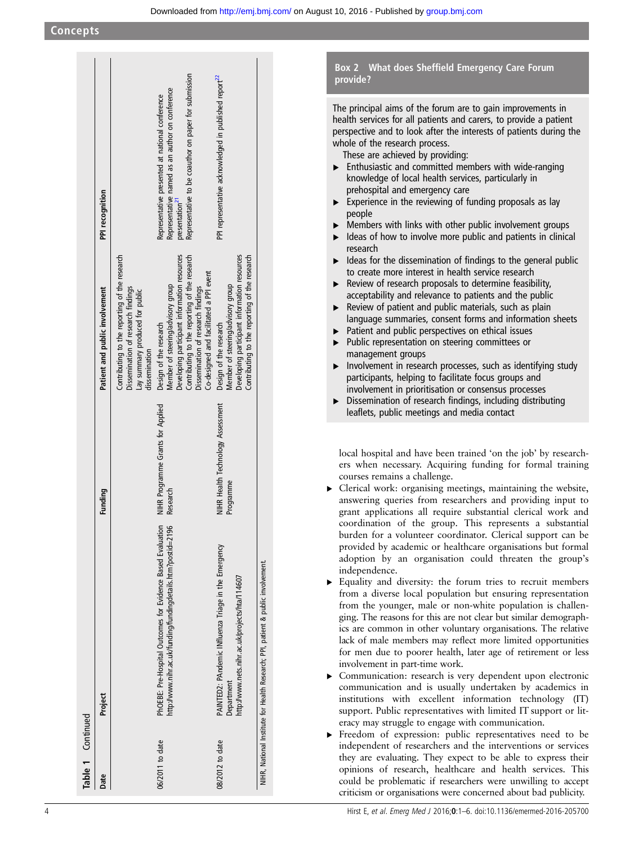<span id="page-3-0"></span>

| Table 1 Continued |                                                                                                                                |                                                |                                                                                                                                                                                                                                               |                                                                                                                                                                                           |
|-------------------|--------------------------------------------------------------------------------------------------------------------------------|------------------------------------------------|-----------------------------------------------------------------------------------------------------------------------------------------------------------------------------------------------------------------------------------------------|-------------------------------------------------------------------------------------------------------------------------------------------------------------------------------------------|
| Date              | Project                                                                                                                        | Funding                                        | Patient and public involvement                                                                                                                                                                                                                | PPI recognition                                                                                                                                                                           |
|                   |                                                                                                                                |                                                | Contributing to the reporting of the research<br>Dissemination of research findings<br>Lay summary produced for public<br>dissemination                                                                                                       |                                                                                                                                                                                           |
| 06/2011 to date   | S<br>http://www.nihr.ac.uk/funding/fundingdetails.htm?postid=2196<br>PhOEBE: Pre-Hospital Outcomes for Evidence Based Evaluati | NIHR Programme Grants for Applied<br>Research  | Developing participant information resources<br>Contributing to the reporting of the research<br>Co-designed and facilitated a PPI event<br>Member of steering/advisory group<br>Dissemination of research findings<br>Design of the research | Representative to be coauthor on paper for submission<br>Representative named as an author on conference<br>Representative presented at national conference<br>presentation <sup>21</sup> |
| 08/2012 to date   | PAINTED2: PAndemic INfluenza Triage in the Emergency<br>http://www.nets.nihr.ac.uk/projects/hta/114607<br>Department           | NIHR Health Technology Assessment<br>Programme | Developing participant information resources<br>Contributing to the reporting of the research<br>Member of steering/advisory group<br>Design of the research                                                                                  | PPI representative acknowledged in published report <sup>22</sup>                                                                                                                         |
|                   | NIHR, National Institute for Health Research; PPI, patient & public involvement                                                |                                                |                                                                                                                                                                                                                                               |                                                                                                                                                                                           |

#### Box 2 What does Sheffield Emergency Care Forum provide?

The principal aims of the forum are to gain improvements in health services for all patients and carers, to provide a patient perspective and to look after the interests of patients during the whole of the research process.

These are achieved by providing:

- $\blacktriangleright$  Enthusiastic and committed members with wide-ranging knowledge of local health services, particularly in prehospital and emergency care
- $\triangleright$  Experience in the reviewing of funding proposals as lay people
- ▶ Members with links with other public involvement groups
- $\triangleright$  Ideas of how to involve more public and patients in clinical research
- $\triangleright$  Ideas for the dissemination of findings to the general public to create more interest in health service research
- ▸ Review of research proposals to determine feasibility, acceptability and relevance to patients and the public
- $\blacktriangleright$  Review of patient and public materials, such as plain language summaries, consent forms and information sheets
- ▶ Patient and public perspectives on ethical issues
- ▸ Public representation on steering committees or management groups
- ▸ Involvement in research processes, such as identifying study participants, helping to facilitate focus groups and involvement in prioritisation or consensus processes
- ▸ Dissemination of research findings, including distributing leaflets, public meetings and media contact

local hospital and have been trained 'on the job' by researchers when necessary. Acquiring funding for formal training courses remains a challenge.

- ▸ Clerical work: organising meetings, maintaining the website, answering queries from researchers and providing input to grant applications all require substantial clerical work and coordination of the group. This represents a substantial burden for a volunteer coordinator. Clerical support can be provided by academic or healthcare organisations but formal adoption by an organisation could threaten the group's independence.
- ▸ Equality and diversity: the forum tries to recruit members from a diverse local population but ensuring representation from the younger, male or non-white population is challenging. The reasons for this are not clear but similar demographics are common in other voluntary organisations. The relative lack of male members may reflect more limited opportunities for men due to poorer health, later age of retirement or less involvement in part-time work.
- ▸ Communication: research is very dependent upon electronic communication and is usually undertaken by academics in institutions with excellent information technology (IT) support. Public representatives with limited IT support or literacy may struggle to engage with communication.
- ▸ Freedom of expression: public representatives need to be independent of researchers and the interventions or services they are evaluating. They expect to be able to express their opinions of research, healthcare and health services. This could be problematic if researchers were unwilling to accept criticism or organisations were concerned about bad publicity.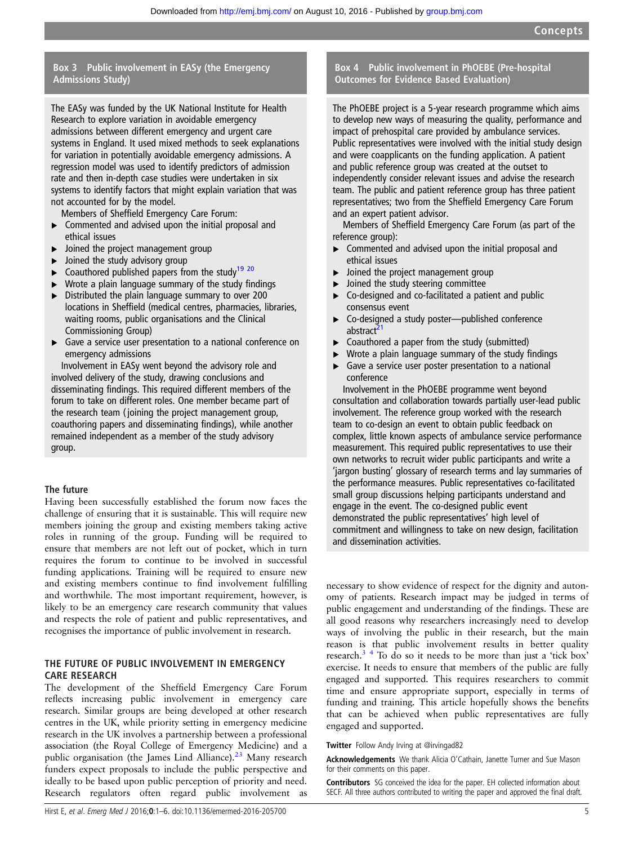#### <span id="page-4-0"></span>Box 3 Public involvement in EASy (the Emergency Admissions Study)

The EASy was funded by the UK National Institute for Health Research to explore variation in avoidable emergency admissions between different emergency and urgent care systems in England. It used mixed methods to seek explanations for variation in potentially avoidable emergency admissions. A regression model was used to identify predictors of admission rate and then in-depth case studies were undertaken in six systems to identify factors that might explain variation that was not accounted for by the model.

Members of Sheffield Emergency Care Forum:

- ▸ Commented and advised upon the initial proposal and ethical issues
- ▸ Joined the project management group
- $\triangleright$  Joined the study advisory group
- $\triangleright$  Coauthored published papers from the study<sup>[19 20](#page-5-0)</sup>
- $\triangleright$  Wrote a plain language summary of the study findings
- ▸ Distributed the plain language summary to over 200 locations in Sheffield (medical centres, pharmacies, libraries, waiting rooms, public organisations and the Clinical Commissioning Group)
- ▶ Gave a service user presentation to a national conference on emergency admissions

Involvement in EASy went beyond the advisory role and involved delivery of the study, drawing conclusions and disseminating findings. This required different members of the forum to take on different roles. One member became part of the research team ( joining the project management group, coauthoring papers and disseminating findings), while another remained independent as a member of the study advisory group.

#### The future

Having been successfully established the forum now faces the challenge of ensuring that it is sustainable. This will require new members joining the group and existing members taking active roles in running of the group. Funding will be required to ensure that members are not left out of pocket, which in turn requires the forum to continue to be involved in successful funding applications. Training will be required to ensure new and existing members continue to find involvement fulfilling and worthwhile. The most important requirement, however, is likely to be an emergency care research community that values and respects the role of patient and public representatives, and recognises the importance of public involvement in research.

#### THE FUTURE OF PUBLIC INVOLVEMENT IN EMERGENCY CARE RESEARCH

The development of the Sheffield Emergency Care Forum reflects increasing public involvement in emergency care research. Similar groups are being developed at other research centres in the UK, while priority setting in emergency medicine research in the UK involves a partnership between a professional association (the Royal College of Emergency Medicine) and a public organisation (the James Lind Alliance).<sup>[23](#page-5-0)</sup> Many research funders expect proposals to include the public perspective and ideally to be based upon public perception of priority and need. Research regulators often regard public involvement as

#### Box 4 Public involvement in PhOEBE (Pre-hospital Outcomes for Evidence Based Evaluation)

The PhOEBE project is a 5-year research programme which aims to develop new ways of measuring the quality, performance and impact of prehospital care provided by ambulance services. Public representatives were involved with the initial study design and were coapplicants on the funding application. A patient and public reference group was created at the outset to independently consider relevant issues and advise the research team. The public and patient reference group has three patient representatives; two from the Sheffield Emergency Care Forum and an expert patient advisor.

Members of Sheffield Emergency Care Forum (as part of the reference group):

- ▸ Commented and advised upon the initial proposal and ethical issues
- $\blacktriangleright$  Joined the project management group
- Joined the study steering committee
- ▸ Co-designed and co-facilitated a patient and public consensus event
- ▸ Co-designed a study poster—published conference abstract<sup>[21](#page-5-0)</sup>
- $\triangleright$  Coauthored a paper from the study (submitted)
- ▸ Wrote a plain language summary of the study findings
- $\triangleright$  Gave a service user poster presentation to a national conference

Involvement in the PhOEBE programme went beyond consultation and collaboration towards partially user-lead public involvement. The reference group worked with the research team to co-design an event to obtain public feedback on complex, little known aspects of ambulance service performance measurement. This required public representatives to use their own networks to recruit wider public participants and write a 'jargon busting' glossary of research terms and lay summaries of the performance measures. Public representatives co-facilitated small group discussions helping participants understand and engage in the event. The co-designed public event demonstrated the public representatives' high level of commitment and willingness to take on new design, facilitation and dissemination activities.

necessary to show evidence of respect for the dignity and autonomy of patients. Research impact may be judged in terms of public engagement and understanding of the findings. These are all good reasons why researchers increasingly need to develop ways of involving the public in their research, but the main reason is that public involvement results in better quality research.[3 4](#page-5-0) To do so it needs to be more than just a 'tick box' exercise. It needs to ensure that members of the public are fully engaged and supported. This requires researchers to commit time and ensure appropriate support, especially in terms of funding and training. This article hopefully shows the benefits that can be achieved when public representatives are fully engaged and supported.

Twitter Follow Andy Irving at [@irvingad82](http://twitter.com/irvingad82)

Acknowledgements We thank Alicia O'Cathain, Janette Turner and Sue Mason for their comments on this paper.

Contributors SG conceived the idea for the paper. EH collected information about SECF. All three authors contributed to writing the paper and approved the final draft.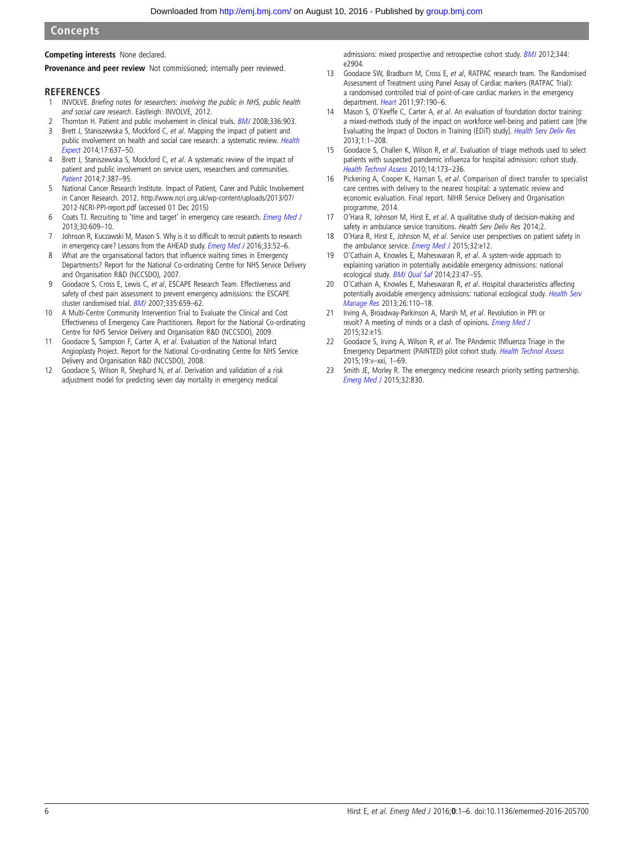#### <span id="page-5-0"></span>**Concepts**

#### Competing interests None declared.

Provenance and peer review Not commissioned; internally peer reviewed.

#### **REFERENCES**

- 1 INVOLVE. Briefing notes for researchers: involving the public in NHS, public health and social care research. Eastleigh: INVOLVE, 2012.
- 2 Thornton H. Patient and public involvement in clinical trials. **[BMJ](http://dx.doi.org/10.1136/bmj.39547.586100.80) 2008**;336:903.
- 3 Brett J, Staniszewska S, Mockford C, et al. Mapping the impact of patient and public involvement on health and social care research: a systematic review. [Health](http://dx.doi.org/10.1111/j.1369-7625.2012.00795.x) [Expect](http://dx.doi.org/10.1111/j.1369-7625.2012.00795.x) 2014;17:637–50.
- 4 Brett J, Staniszewska S, Mockford C, et al. A systematic review of the impact of patient and public involvement on service users, researchers and communities. [Patient](http://dx.doi.org/10.1007/s40271-014-0065-0) 2014;7:387–95.
- 5 National Cancer Research Institute. Impact of Patient, Carer and Public Involvement in Cancer Research. 2012. [http://www.ncri.org.uk/wp-content/uploads/2013/07/](http://www.ncri.org.uk/wp-content/uploads/2013/07/2012-NCRI-PPI-report.pdf) [2012-NCRI-PPI-report.pdf](http://www.ncri.org.uk/wp-content/uploads/2013/07/2012-NCRI-PPI-report.pdf) (accessed 01 Dec 2015)
- 6 Coats TJ. Recruiting to 'time and target' in emergency care research. [Emerg Med J](http://dx.doi.org/10.1136/emermed-2012-202032) 2013;30:609–10.
- 7 Johnson R, Kuczawski M, Mason S. Why is it so difficult to recruit patients to research in emergency care? Lessons from the AHEAD study. [Emerg Med J](http://dx.doi.org/10.1136/emermed-2014-204401) 2016;33:52-6.
- 8 What are the organisational factors that influence waiting times in Emergency Departments? Report for the National Co-ordinating Centre for NHS Service Delivery and Organisation R&D (NCCSDO), 2007.
- 9 Goodacre S, Cross E, Lewis C, et al, ESCAPE Research Team. Effectiveness and safety of chest pain assessment to prevent emergency admissions: the ESCAPE cluster randomised trial. [BMJ](http://dx.doi.org/10.1136/bmj.39325.624109.AE) 2007;335:659–62.
- 10 A Multi-Centre Community Intervention Trial to Evaluate the Clinical and Cost Effectiveness of Emergency Care Practitioners. Report for the National Co-ordinating Centre for NHS Service Delivery and Organisation R&D (NCCSDO), 2009.
- 11 Goodacre S, Sampson F, Carter A, et al. Evaluation of the National Infarct Angioplasty Project. Report for the National Co-ordinating Centre for NHS Service Delivery and Organisation R&D (NCCSDO), 2008.
- 12 Goodacre S, Wilson R, Shephard N, et al. Derivation and validation of a risk adjustment model for predicting seven day mortality in emergency medical

admissions: mixed prospective and retrospective cohort study. **[BMJ](http://dx.doi.org/10.1136/bmj.e2904)** 2012;344: e2904.

- 13 Goodacre SW, Bradburn M, Cross E, et al, RATPAC research team. The Randomised Assessment of Treatment using Panel Assay of Cardiac markers (RATPAC Trial): a randomised controlled trial of point-of-care cardiac markers in the emergency department. [Heart](http://dx.doi.org/10.1136/hrt.2010.203166) 2011;97:190–6.
- 14 Mason S, O'Keeffe C, Carter A, et al. An evaluation of foundation doctor training: a mixed-methods study of the impact on workforce well-being and patient care [the Evaluating the Impact of Doctors in Training (EDiT) study]. [Health Serv Deliv Res](http://dx.doi.org/10.3310/hsdr01150) 2013;1:1–208.
- 15 Goodacre S, Challen K, Wilson R, et al. Evaluation of triage methods used to select patients with suspected pandemic influenza for hospital admission: cohort study. [Health Technol Assess](http://dx.doi.org/10.3310/hta14460-03) 2010;14:173–236.
- 16 Pickering A, Cooper K, Harnan S, et al. Comparison of direct transfer to specialist care centres with delivery to the nearest hospital: a systematic review and economic evaluation. Final report. NIHR Service Delivery and Organisation programme, 2014.
- 17 O'Hara R, Johnson M, Hirst E, et al. A qualitative study of decision-making and safety in ambulance service transitions. Health Serv Deliv Res 2014;2.
- 18 O'Hara R, Hirst E, Johnson M, et al. Service user perspectives on patient safety in the ambulance service. *[Emerg Med J](http://dx.doi.org/10.1136/emermed-2015-204880.2)* 2015;32:e12.
- 19 O'Cathain A, Knowles E, Maheswaran R, et al. A system-wide approach to explaining variation in potentially avoidable emergency admissions: national ecological study. **[BMJ Qual Saf](http://dx.doi.org/10.1136/bmjqs-2013-002003) 2014;23:47-55.**
- 20 O'Cathain A, Knowles E, Maheswaran R, et al. Hospital characteristics affecting potentially avoidable emergency admissions: national ecological study. [Health Serv](http://dx.doi.org/10.1177/0951484814525357) [Manage Res](http://dx.doi.org/10.1177/0951484814525357) 2013;26:110–18.
- 21 Irving A, Broadway-Parkinson A, Marsh M, et al. Revolution in PPI or revolt? A meeting of minds or a clash of opinions. [Emerg Med J](http://dx.doi.org/10.1136/emermed-2015-204980.10) 2015;32:e15.
- 22 Goodacre S, Irving A, Wilson R, et al. The PAndemic INfluenza Triage in the Emergency Department (PAINTED) pilot cohort study. [Health Technol Assess](http://dx.doi.org/10.3310/hta19030) 2015;19:v–xxi, 1–69.
- 23 Smith JE, Morley R. The emergency medicine research priority setting partnership. [Emerg Med J](http://dx.doi.org/10.1136/emermed-2015-205353) 2015;32:830.